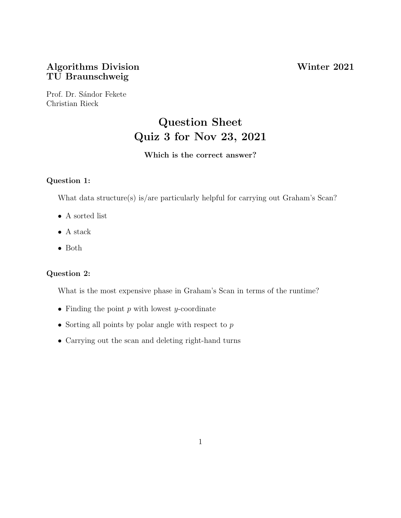# Algorithms Division Winter 2021 TU Braunschweig

Prof. Dr. Sándor Fekete Christian Rieck

# Question Sheet Quiz 3 for Nov 23, 2021

## Which is the correct answer?

#### Question 1:

What data structure(s) is/are particularly helpful for carrying out Graham's Scan?

- $\bullet\,$  A sorted list
- $\bullet\,$  A stack
- Both

# Question 2:

What is the most expensive phase in Graham's Scan in terms of the runtime?

- Finding the point  $p$  with lowest  $y$ -coordinate
- Sorting all points by polar angle with respect to  $p$
- Carrying out the scan and deleting right-hand turns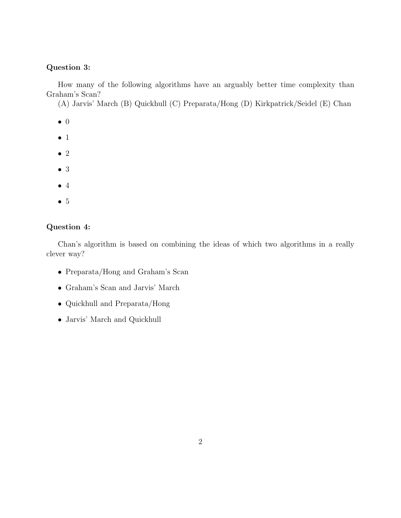### Question 3:

How many of the following algorithms have an arguably better time complexity than Graham's Scan?

(A) Jarvis' March (B) Quickhull (C) Preparata/Hong (D) Kirkpatrick/Seidel (E) Chan

- 0
- 1
- 2
- 3
- 4
- 5

### Question 4:

Chan's algorithm is based on combining the ideas of which two algorithms in a really clever way?

- Preparata/Hong and Graham's Scan
- Graham's Scan and Jarvis' March
- Quickhull and Preparata/Hong
- Jarvis' March and Quickhull